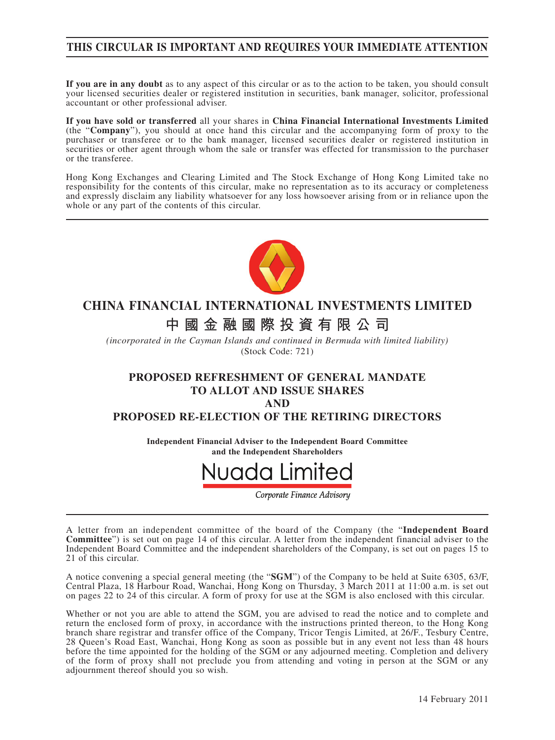### **THIS CIRCULAR IS IMPORTANT AND REQUIRES YOUR IMMEDIATE ATTENTION**

**If you are in any doubt** as to any aspect of this circular or as to the action to be taken, you should consult your licensed securities dealer or registered institution in securities, bank manager, solicitor, professional accountant or other professional adviser.

**If you have sold or transferred** all your shares in **China Financial International Investments Limited** (the "**Company**"), you should at once hand this circular and the accompanying form of proxy to the purchaser or transferee or to the bank manager, licensed securities dealer or registered institution in securities or other agent through whom the sale or transfer was effected for transmission to the purchaser or the transferee.

Hong Kong Exchanges and Clearing Limited and The Stock Exchange of Hong Kong Limited take no responsibility for the contents of this circular, make no representation as to its accuracy or completeness and expressly disclaim any liability whatsoever for any loss howsoever arising from or in reliance upon the whole or any part of the contents of this circular.



# **CHINA FINANCIAL INTERNATIONAL INVESTMENTS LIMITED**

# **中國金融國際投資有限公司**

*(incorporated in the Cayman Islands and continued in Bermuda with limited liability)* (Stock Code: 721)

### **PROPOSED REFRESHMENT OF GENERAL MANDATE TO ALLOT AND ISSUE SHARES**

**AND**

#### **PROPOSED RE-ELECTION OF THE RETIRING DIRECTORS**

**Independent Financial Adviser to the Independent Board Committee and the Independent Shareholders**



Corporate Finance Advisory

A letter from an independent committee of the board of the Company (the "**Independent Board Committee**") is set out on page 14 of this circular. A letter from the independent financial adviser to the Independent Board Committee and the independent shareholders of the Company, is set out on pages 15 to 21 of this circular.

A notice convening a special general meeting (the "**SGM**") of the Company to be held at Suite 6305, 63/F, Central Plaza, 18 Harbour Road, Wanchai, Hong Kong on Thursday, 3 March 2011 at 11:00 a.m. is set out on pages 22 to 24 of this circular. A form of proxy for use at the SGM is also enclosed with this circular.

Whether or not you are able to attend the SGM, you are advised to read the notice and to complete and return the enclosed form of proxy, in accordance with the instructions printed thereon, to the Hong Kong branch share registrar and transfer office of the Company, Tricor Tengis Limited, at 26/F., Tesbury Centre, 28 Queen's Road East, Wanchai, Hong Kong as soon as possible but in any event not less than 48 hours before the time appointed for the holding of the SGM or any adjourned meeting. Completion and delivery of the form of proxy shall not preclude you from attending and voting in person at the SGM or any adjournment thereof should you so wish.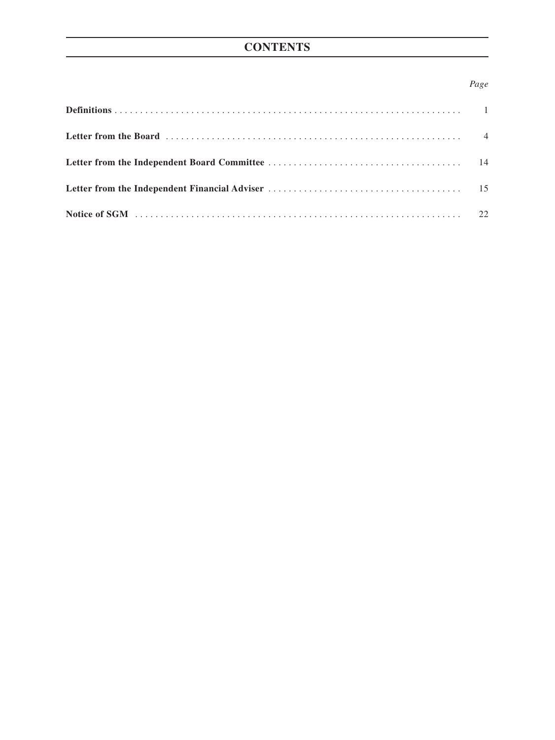# **CONTENTS**

### *Page*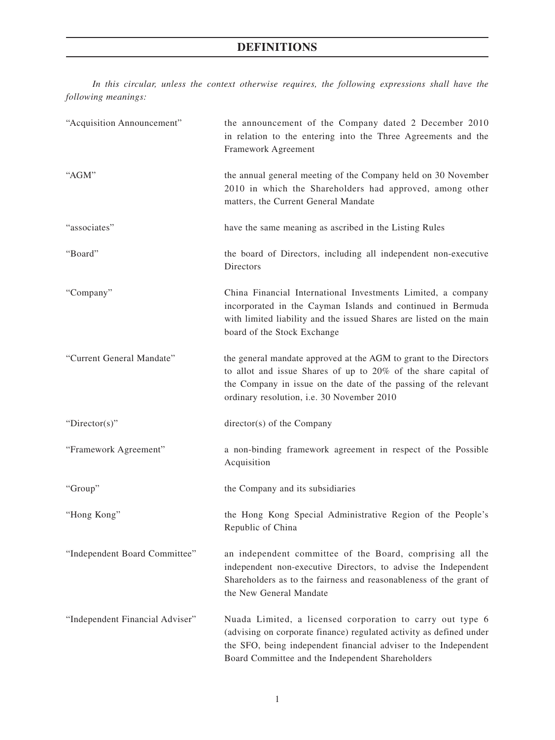# **DEFINITIONS**

*In this circular, unless the context otherwise requires, the following expressions shall have the following meanings:*

| "Acquisition Announcement"      | the announcement of the Company dated 2 December 2010<br>in relation to the entering into the Three Agreements and the<br>Framework Agreement                                                                                                           |  |  |
|---------------------------------|---------------------------------------------------------------------------------------------------------------------------------------------------------------------------------------------------------------------------------------------------------|--|--|
| "AGM"                           | the annual general meeting of the Company held on 30 November<br>2010 in which the Shareholders had approved, among other<br>matters, the Current General Mandate                                                                                       |  |  |
| "associates"                    | have the same meaning as ascribed in the Listing Rules                                                                                                                                                                                                  |  |  |
| "Board"                         | the board of Directors, including all independent non-executive<br>Directors                                                                                                                                                                            |  |  |
| "Company"                       | China Financial International Investments Limited, a company<br>incorporated in the Cayman Islands and continued in Bermuda<br>with limited liability and the issued Shares are listed on the main<br>board of the Stock Exchange                       |  |  |
| "Current General Mandate"       | the general mandate approved at the AGM to grant to the Directors<br>to allot and issue Shares of up to 20% of the share capital of<br>the Company in issue on the date of the passing of the relevant<br>ordinary resolution, i.e. 30 November 2010    |  |  |
| " $Directory$ "                 | director(s) of the Company                                                                                                                                                                                                                              |  |  |
| "Framework Agreement"           | a non-binding framework agreement in respect of the Possible<br>Acquisition                                                                                                                                                                             |  |  |
| "Group"                         | the Company and its subsidiaries                                                                                                                                                                                                                        |  |  |
| "Hong Kong"                     | the Hong Kong Special Administrative Region of the People's<br>Republic of China                                                                                                                                                                        |  |  |
| "Independent Board Committee"   | an independent committee of the Board, comprising all the<br>independent non-executive Directors, to advise the Independent<br>Shareholders as to the fairness and reasonableness of the grant of<br>the New General Mandate                            |  |  |
| "Independent Financial Adviser" | Nuada Limited, a licensed corporation to carry out type 6<br>(advising on corporate finance) regulated activity as defined under<br>the SFO, being independent financial adviser to the Independent<br>Board Committee and the Independent Shareholders |  |  |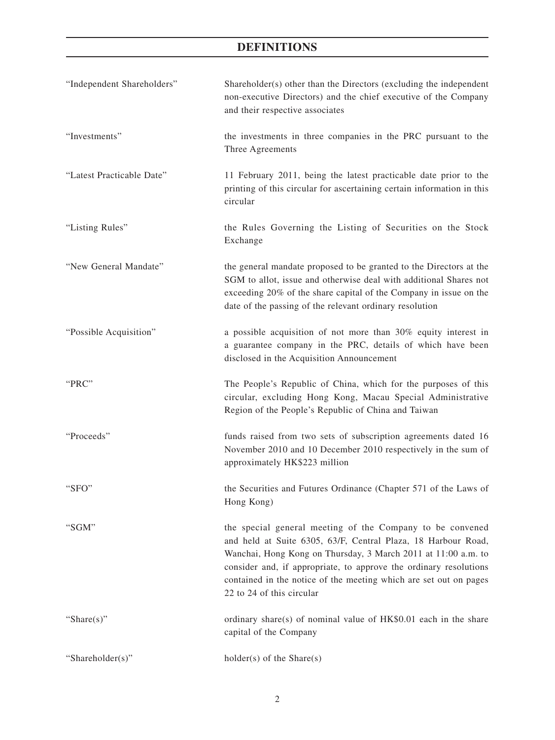# **DEFINITIONS**

| "Independent Shareholders" | Shareholder(s) other than the Directors (excluding the independent<br>non-executive Directors) and the chief executive of the Company<br>and their respective associates                                                                                                                                                                                           |
|----------------------------|--------------------------------------------------------------------------------------------------------------------------------------------------------------------------------------------------------------------------------------------------------------------------------------------------------------------------------------------------------------------|
| "Investments"              | the investments in three companies in the PRC pursuant to the<br>Three Agreements                                                                                                                                                                                                                                                                                  |
| "Latest Practicable Date"  | 11 February 2011, being the latest practicable date prior to the<br>printing of this circular for ascertaining certain information in this<br>circular                                                                                                                                                                                                             |
| "Listing Rules"            | the Rules Governing the Listing of Securities on the Stock<br>Exchange                                                                                                                                                                                                                                                                                             |
| "New General Mandate"      | the general mandate proposed to be granted to the Directors at the<br>SGM to allot, issue and otherwise deal with additional Shares not<br>exceeding 20% of the share capital of the Company in issue on the<br>date of the passing of the relevant ordinary resolution                                                                                            |
| "Possible Acquisition"     | a possible acquisition of not more than 30% equity interest in<br>a guarantee company in the PRC, details of which have been<br>disclosed in the Acquisition Announcement                                                                                                                                                                                          |
| "PRC"                      | The People's Republic of China, which for the purposes of this<br>circular, excluding Hong Kong, Macau Special Administrative<br>Region of the People's Republic of China and Taiwan                                                                                                                                                                               |
| "Proceeds"                 | funds raised from two sets of subscription agreements dated 16<br>November 2010 and 10 December 2010 respectively in the sum of<br>approximately HK\$223 million                                                                                                                                                                                                   |
| "SFO"                      | the Securities and Futures Ordinance (Chapter 571 of the Laws of<br>Hong Kong)                                                                                                                                                                                                                                                                                     |
| "SGM"                      | the special general meeting of the Company to be convened<br>and held at Suite 6305, 63/F, Central Plaza, 18 Harbour Road,<br>Wanchai, Hong Kong on Thursday, 3 March 2011 at 11:00 a.m. to<br>consider and, if appropriate, to approve the ordinary resolutions<br>contained in the notice of the meeting which are set out on pages<br>22 to 24 of this circular |
| "Share $(s)$ "             | ordinary share(s) of nominal value of HK\$0.01 each in the share<br>capital of the Company                                                                                                                                                                                                                                                                         |
| "Shareholder(s)"           | $holder(s)$ of the Share $(s)$                                                                                                                                                                                                                                                                                                                                     |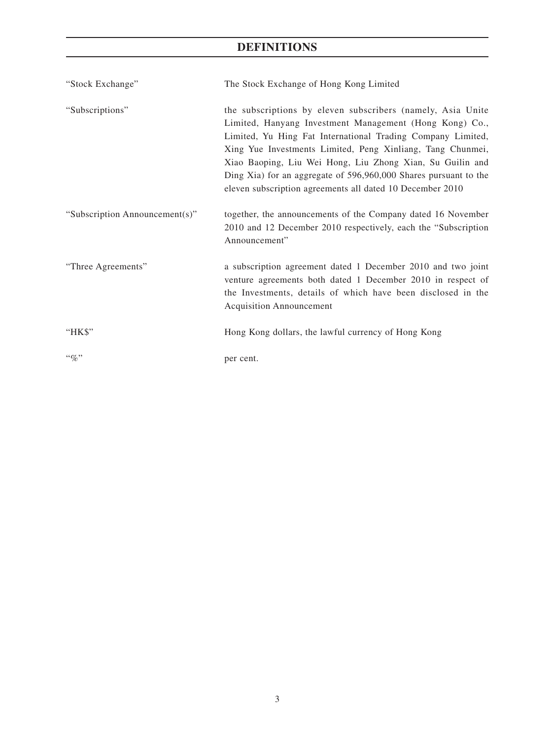# **DEFINITIONS**

| "Stock Exchange"               | The Stock Exchange of Hong Kong Limited                                                                                                                                                                                                                                                                                                                                                                                                           |
|--------------------------------|---------------------------------------------------------------------------------------------------------------------------------------------------------------------------------------------------------------------------------------------------------------------------------------------------------------------------------------------------------------------------------------------------------------------------------------------------|
| "Subscriptions"                | the subscriptions by eleven subscribers (namely, Asia Unite<br>Limited, Hanyang Investment Management (Hong Kong) Co.,<br>Limited, Yu Hing Fat International Trading Company Limited,<br>Xing Yue Investments Limited, Peng Xinliang, Tang Chunmei,<br>Xiao Baoping, Liu Wei Hong, Liu Zhong Xian, Su Guilin and<br>Ding Xia) for an aggregate of 596,960,000 Shares pursuant to the<br>eleven subscription agreements all dated 10 December 2010 |
| "Subscription Announcement(s)" | together, the announcements of the Company dated 16 November<br>2010 and 12 December 2010 respectively, each the "Subscription<br>Announcement"                                                                                                                                                                                                                                                                                                   |
| "Three Agreements"             | a subscription agreement dated 1 December 2010 and two joint<br>venture agreements both dated 1 December 2010 in respect of<br>the Investments, details of which have been disclosed in the<br><b>Acquisition Announcement</b>                                                                                                                                                                                                                    |
| "HK\$"                         | Hong Kong dollars, the lawful currency of Hong Kong                                                                                                                                                                                                                                                                                                                                                                                               |
| $``q_0"$                       | per cent.                                                                                                                                                                                                                                                                                                                                                                                                                                         |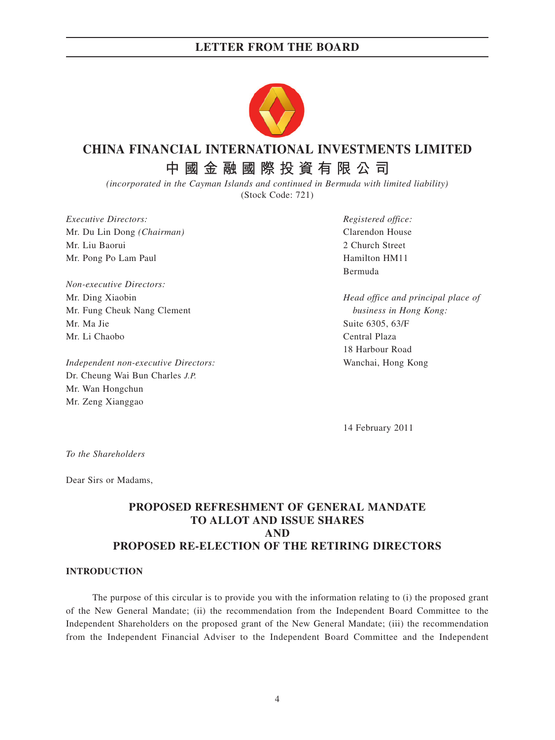

# **CHINA FINANCIAL INTERNATIONAL INVESTMENTS LIMITED**

**中國金融國際投資有限公司**

*(incorporated in the Cayman Islands and continued in Bermuda with limited liability)* (Stock Code: 721)

*Executive Directors: Registered office:* Mr. Du Lin Dong *(Chairman)* Clarendon House Mr. Liu Baorui 2 Church Street Mr. Pong Po Lam Paul Hamilton HM11

*Non-executive Directors:* Mr. Fung Cheuk Nang Clement *business in Hong Kong:* Mr. Ma Jie Suite 6305, 63/F Mr. Li Chaobo Central Plaza

*Independent non-executive Directors:* Wanchai, Hong Kong Dr. Cheung Wai Bun Charles *J.P.* Mr. Wan Hongchun Mr. Zeng Xianggao

Bermuda

Mr. Ding Xiaobin *Head office and principal place of* 18 Harbour Road

14 February 2011

*To the Shareholders*

Dear Sirs or Madams,

### **PROPOSED REFRESHMENT OF GENERAL MANDATE TO ALLOT AND ISSUE SHARES AND PROPOSED RE-ELECTION OF THE RETIRING DIRECTORS**

#### **INTRODUCTION**

The purpose of this circular is to provide you with the information relating to (i) the proposed grant of the New General Mandate; (ii) the recommendation from the Independent Board Committee to the Independent Shareholders on the proposed grant of the New General Mandate; (iii) the recommendation from the Independent Financial Adviser to the Independent Board Committee and the Independent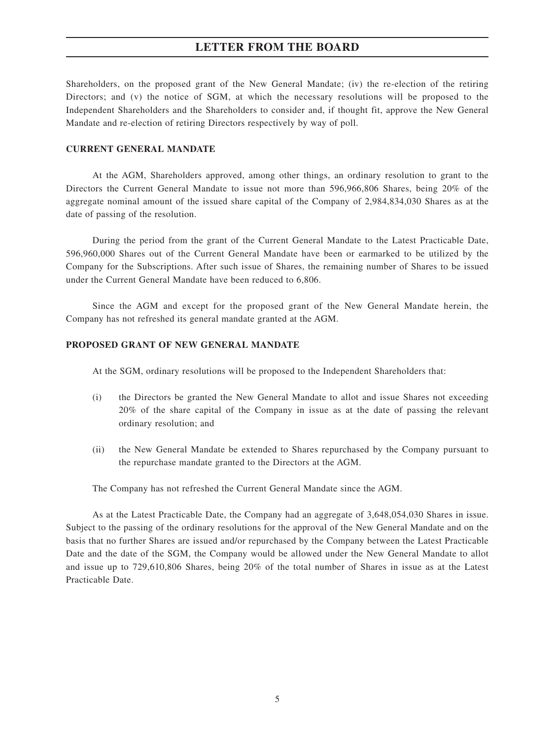Shareholders, on the proposed grant of the New General Mandate; (iv) the re-election of the retiring Directors; and (v) the notice of SGM, at which the necessary resolutions will be proposed to the Independent Shareholders and the Shareholders to consider and, if thought fit, approve the New General Mandate and re-election of retiring Directors respectively by way of poll.

#### **CURRENT GENERAL MANDATE**

At the AGM, Shareholders approved, among other things, an ordinary resolution to grant to the Directors the Current General Mandate to issue not more than 596,966,806 Shares, being 20% of the aggregate nominal amount of the issued share capital of the Company of 2,984,834,030 Shares as at the date of passing of the resolution.

During the period from the grant of the Current General Mandate to the Latest Practicable Date, 596,960,000 Shares out of the Current General Mandate have been or earmarked to be utilized by the Company for the Subscriptions. After such issue of Shares, the remaining number of Shares to be issued under the Current General Mandate have been reduced to 6,806.

Since the AGM and except for the proposed grant of the New General Mandate herein, the Company has not refreshed its general mandate granted at the AGM.

#### **PROPOSED GRANT OF NEW GENERAL MANDATE**

At the SGM, ordinary resolutions will be proposed to the Independent Shareholders that:

- (i) the Directors be granted the New General Mandate to allot and issue Shares not exceeding 20% of the share capital of the Company in issue as at the date of passing the relevant ordinary resolution; and
- (ii) the New General Mandate be extended to Shares repurchased by the Company pursuant to the repurchase mandate granted to the Directors at the AGM.

The Company has not refreshed the Current General Mandate since the AGM.

As at the Latest Practicable Date, the Company had an aggregate of 3,648,054,030 Shares in issue. Subject to the passing of the ordinary resolutions for the approval of the New General Mandate and on the basis that no further Shares are issued and/or repurchased by the Company between the Latest Practicable Date and the date of the SGM, the Company would be allowed under the New General Mandate to allot and issue up to 729,610,806 Shares, being 20% of the total number of Shares in issue as at the Latest Practicable Date.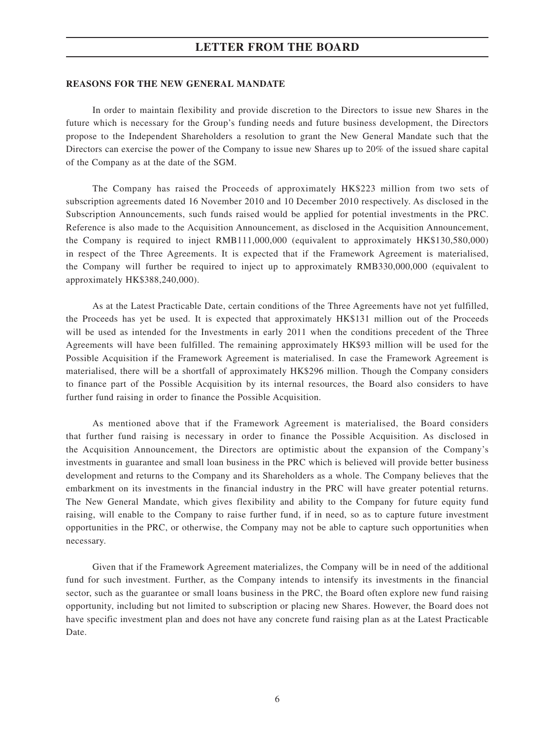#### **REASONS FOR THE NEW GENERAL MANDATE**

In order to maintain flexibility and provide discretion to the Directors to issue new Shares in the future which is necessary for the Group's funding needs and future business development, the Directors propose to the Independent Shareholders a resolution to grant the New General Mandate such that the Directors can exercise the power of the Company to issue new Shares up to 20% of the issued share capital of the Company as at the date of the SGM.

The Company has raised the Proceeds of approximately HK\$223 million from two sets of subscription agreements dated 16 November 2010 and 10 December 2010 respectively. As disclosed in the Subscription Announcements, such funds raised would be applied for potential investments in the PRC. Reference is also made to the Acquisition Announcement, as disclosed in the Acquisition Announcement, the Company is required to inject RMB111,000,000 (equivalent to approximately HK\$130,580,000) in respect of the Three Agreements. It is expected that if the Framework Agreement is materialised, the Company will further be required to inject up to approximately RMB330,000,000 (equivalent to approximately HK\$388,240,000).

As at the Latest Practicable Date, certain conditions of the Three Agreements have not yet fulfilled, the Proceeds has yet be used. It is expected that approximately HK\$131 million out of the Proceeds will be used as intended for the Investments in early 2011 when the conditions precedent of the Three Agreements will have been fulfilled. The remaining approximately HK\$93 million will be used for the Possible Acquisition if the Framework Agreement is materialised. In case the Framework Agreement is materialised, there will be a shortfall of approximately HK\$296 million. Though the Company considers to finance part of the Possible Acquisition by its internal resources, the Board also considers to have further fund raising in order to finance the Possible Acquisition.

As mentioned above that if the Framework Agreement is materialised, the Board considers that further fund raising is necessary in order to finance the Possible Acquisition. As disclosed in the Acquisition Announcement, the Directors are optimistic about the expansion of the Company's investments in guarantee and small loan business in the PRC which is believed will provide better business development and returns to the Company and its Shareholders as a whole. The Company believes that the embarkment on its investments in the financial industry in the PRC will have greater potential returns. The New General Mandate, which gives flexibility and ability to the Company for future equity fund raising, will enable to the Company to raise further fund, if in need, so as to capture future investment opportunities in the PRC, or otherwise, the Company may not be able to capture such opportunities when necessary.

Given that if the Framework Agreement materializes, the Company will be in need of the additional fund for such investment. Further, as the Company intends to intensify its investments in the financial sector, such as the guarantee or small loans business in the PRC, the Board often explore new fund raising opportunity, including but not limited to subscription or placing new Shares. However, the Board does not have specific investment plan and does not have any concrete fund raising plan as at the Latest Practicable Date.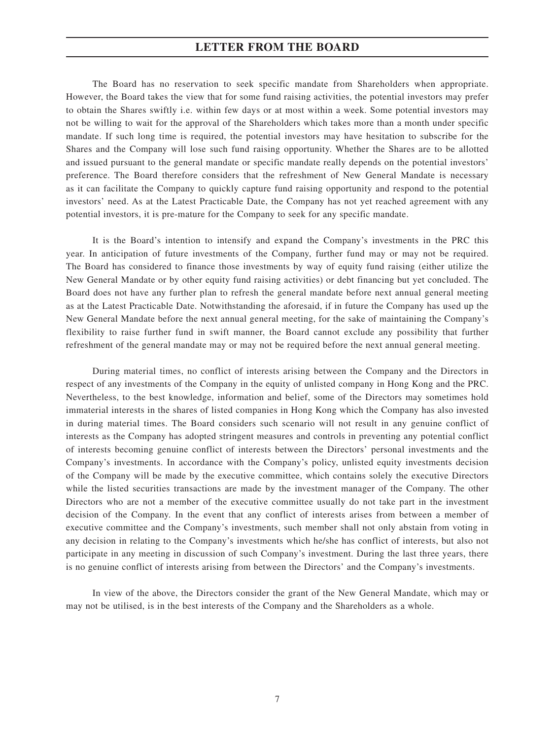The Board has no reservation to seek specific mandate from Shareholders when appropriate. However, the Board takes the view that for some fund raising activities, the potential investors may prefer to obtain the Shares swiftly i.e. within few days or at most within a week. Some potential investors may not be willing to wait for the approval of the Shareholders which takes more than a month under specific mandate. If such long time is required, the potential investors may have hesitation to subscribe for the Shares and the Company will lose such fund raising opportunity. Whether the Shares are to be allotted and issued pursuant to the general mandate or specific mandate really depends on the potential investors' preference. The Board therefore considers that the refreshment of New General Mandate is necessary as it can facilitate the Company to quickly capture fund raising opportunity and respond to the potential investors' need. As at the Latest Practicable Date, the Company has not yet reached agreement with any potential investors, it is pre-mature for the Company to seek for any specific mandate.

It is the Board's intention to intensify and expand the Company's investments in the PRC this year. In anticipation of future investments of the Company, further fund may or may not be required. The Board has considered to finance those investments by way of equity fund raising (either utilize the New General Mandate or by other equity fund raising activities) or debt financing but yet concluded. The Board does not have any further plan to refresh the general mandate before next annual general meeting as at the Latest Practicable Date. Notwithstanding the aforesaid, if in future the Company has used up the New General Mandate before the next annual general meeting, for the sake of maintaining the Company's flexibility to raise further fund in swift manner, the Board cannot exclude any possibility that further refreshment of the general mandate may or may not be required before the next annual general meeting.

During material times, no conflict of interests arising between the Company and the Directors in respect of any investments of the Company in the equity of unlisted company in Hong Kong and the PRC. Nevertheless, to the best knowledge, information and belief, some of the Directors may sometimes hold immaterial interests in the shares of listed companies in Hong Kong which the Company has also invested in during material times. The Board considers such scenario will not result in any genuine conflict of interests as the Company has adopted stringent measures and controls in preventing any potential conflict of interests becoming genuine conflict of interests between the Directors' personal investments and the Company's investments. In accordance with the Company's policy, unlisted equity investments decision of the Company will be made by the executive committee, which contains solely the executive Directors while the listed securities transactions are made by the investment manager of the Company. The other Directors who are not a member of the executive committee usually do not take part in the investment decision of the Company. In the event that any conflict of interests arises from between a member of executive committee and the Company's investments, such member shall not only abstain from voting in any decision in relating to the Company's investments which he/she has conflict of interests, but also not participate in any meeting in discussion of such Company's investment. During the last three years, there is no genuine conflict of interests arising from between the Directors' and the Company's investments.

In view of the above, the Directors consider the grant of the New General Mandate, which may or may not be utilised, is in the best interests of the Company and the Shareholders as a whole.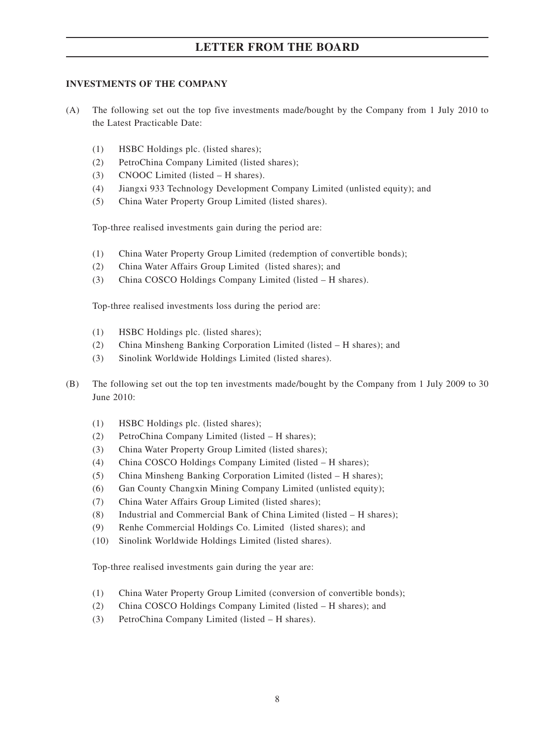### **INVESTMENTS OF THE COMPANY**

- (A) The following set out the top five investments made/bought by the Company from 1 July 2010 to the Latest Practicable Date:
	- (1) HSBC Holdings plc. (listed shares);
	- (2) PetroChina Company Limited (listed shares);
	- (3) CNOOC Limited (listed H shares).
	- (4) Jiangxi 933 Technology Development Company Limited (unlisted equity); and
	- (5) China Water Property Group Limited (listed shares).

Top-three realised investments gain during the period are:

- (1) China Water Property Group Limited (redemption of convertible bonds);
- (2) China Water Affairs Group Limited (listed shares); and
- (3) China COSCO Holdings Company Limited (listed H shares).

Top-three realised investments loss during the period are:

- (1) HSBC Holdings plc. (listed shares);
- (2) China Minsheng Banking Corporation Limited (listed H shares); and
- (3) Sinolink Worldwide Holdings Limited (listed shares).
- (B) The following set out the top ten investments made/bought by the Company from 1 July 2009 to 30 June 2010:
	- (1) HSBC Holdings plc. (listed shares);
	- (2) PetroChina Company Limited (listed H shares);
	- (3) China Water Property Group Limited (listed shares);
	- (4) China COSCO Holdings Company Limited (listed H shares);
	- (5) China Minsheng Banking Corporation Limited (listed H shares);
	- (6) Gan County Changxin Mining Company Limited (unlisted equity);
	- (7) China Water Affairs Group Limited (listed shares);
	- (8) Industrial and Commercial Bank of China Limited (listed H shares);
	- (9) Renhe Commercial Holdings Co. Limited (listed shares); and
	- (10) Sinolink Worldwide Holdings Limited (listed shares).

Top-three realised investments gain during the year are:

- (1) China Water Property Group Limited (conversion of convertible bonds);
- (2) China COSCO Holdings Company Limited (listed H shares); and
- (3) PetroChina Company Limited (listed H shares).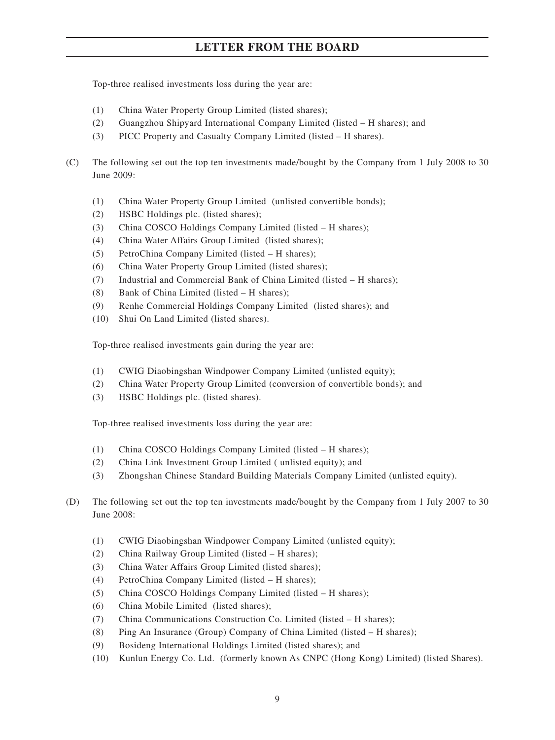Top-three realised investments loss during the year are:

- (1) China Water Property Group Limited (listed shares);
- (2) Guangzhou Shipyard International Company Limited (listed H shares); and
- (3) PICC Property and Casualty Company Limited (listed H shares).
- (C) The following set out the top ten investments made/bought by the Company from 1 July 2008 to 30 June 2009:
	- (1) China Water Property Group Limited (unlisted convertible bonds);
	- (2) HSBC Holdings plc. (listed shares);
	- (3) China COSCO Holdings Company Limited (listed H shares);
	- (4) China Water Affairs Group Limited (listed shares);
	- (5) PetroChina Company Limited (listed H shares);
	- (6) China Water Property Group Limited (listed shares);
	- (7) Industrial and Commercial Bank of China Limited (listed H shares);
	- (8) Bank of China Limited (listed H shares);
	- (9) Renhe Commercial Holdings Company Limited (listed shares); and
	- (10) Shui On Land Limited (listed shares).

Top-three realised investments gain during the year are:

- (1) CWIG Diaobingshan Windpower Company Limited (unlisted equity);
- (2) China Water Property Group Limited (conversion of convertible bonds); and
- (3) HSBC Holdings plc. (listed shares).

Top-three realised investments loss during the year are:

- (1) China COSCO Holdings Company Limited (listed H shares);
- (2) China Link Investment Group Limited ( unlisted equity); and
- (3) Zhongshan Chinese Standard Building Materials Company Limited (unlisted equity).
- (D) The following set out the top ten investments made/bought by the Company from 1 July 2007 to 30 June 2008:
	- (1) CWIG Diaobingshan Windpower Company Limited (unlisted equity);
	- (2) China Railway Group Limited (listed H shares);
	- (3) China Water Affairs Group Limited (listed shares);
	- (4) PetroChina Company Limited (listed H shares);
	- (5) China COSCO Holdings Company Limited (listed H shares);
	- (6) China Mobile Limited (listed shares);
	- (7) China Communications Construction Co. Limited (listed H shares);
	- (8) Ping An Insurance (Group) Company of China Limited (listed H shares);
	- (9) Bosideng International Holdings Limited (listed shares); and
	- (10) Kunlun Energy Co. Ltd. (formerly known As CNPC (Hong Kong) Limited) (listed Shares).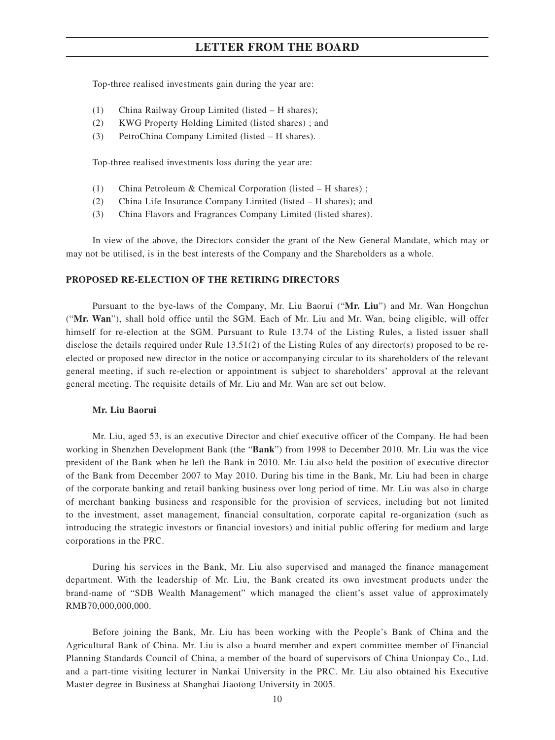Top-three realised investments gain during the year are:

- (1) China Railway Group Limited (listed H shares);
- (2) KWG Property Holding Limited (listed shares) ; and
- (3) PetroChina Company Limited (listed H shares).

Top-three realised investments loss during the year are:

- (1) China Petroleum & Chemical Corporation (listed H shares) ;
- (2) China Life Insurance Company Limited (listed H shares); and
- (3) China Flavors and Fragrances Company Limited (listed shares).

In view of the above, the Directors consider the grant of the New General Mandate, which may or may not be utilised, is in the best interests of the Company and the Shareholders as a whole.

#### **PROPOSED RE-ELECTION OF THE RETIRING DIRECTORS**

Pursuant to the bye-laws of the Company, Mr. Liu Baorui ("**Mr. Liu**") and Mr. Wan Hongchun ("**Mr. Wan**"), shall hold office until the SGM. Each of Mr. Liu and Mr. Wan, being eligible, will offer himself for re-election at the SGM. Pursuant to Rule 13.74 of the Listing Rules, a listed issuer shall disclose the details required under Rule 13.51(2) of the Listing Rules of any director(s) proposed to be reelected or proposed new director in the notice or accompanying circular to its shareholders of the relevant general meeting, if such re-election or appointment is subject to shareholders' approval at the relevant general meeting. The requisite details of Mr. Liu and Mr. Wan are set out below.

#### **Mr. Liu Baorui**

Mr. Liu, aged 53, is an executive Director and chief executive officer of the Company. He had been working in Shenzhen Development Bank (the "**Bank**") from 1998 to December 2010. Mr. Liu was the vice president of the Bank when he left the Bank in 2010. Mr. Liu also held the position of executive director of the Bank from December 2007 to May 2010. During his time in the Bank, Mr. Liu had been in charge of the corporate banking and retail banking business over long period of time. Mr. Liu was also in charge of merchant banking business and responsible for the provision of services, including but not limited to the investment, asset management, financial consultation, corporate capital re-organization (such as introducing the strategic investors or financial investors) and initial public offering for medium and large corporations in the PRC.

During his services in the Bank, Mr. Liu also supervised and managed the finance management department. With the leadership of Mr. Liu, the Bank created its own investment products under the brand-name of "SDB Wealth Management" which managed the client's asset value of approximately RMB70,000,000,000.

Before joining the Bank, Mr. Liu has been working with the People's Bank of China and the Agricultural Bank of China. Mr. Liu is also a board member and expert committee member of Financial Planning Standards Council of China, a member of the board of supervisors of China Unionpay Co., Ltd. and a part-time visiting lecturer in Nankai University in the PRC. Mr. Liu also obtained his Executive Master degree in Business at Shanghai Jiaotong University in 2005.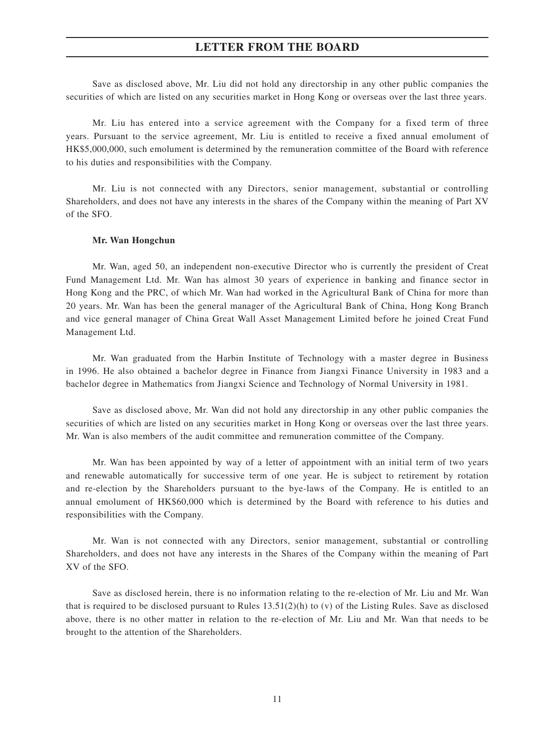Save as disclosed above, Mr. Liu did not hold any directorship in any other public companies the securities of which are listed on any securities market in Hong Kong or overseas over the last three years.

Mr. Liu has entered into a service agreement with the Company for a fixed term of three years. Pursuant to the service agreement, Mr. Liu is entitled to receive a fixed annual emolument of HK\$5,000,000, such emolument is determined by the remuneration committee of the Board with reference to his duties and responsibilities with the Company.

Mr. Liu is not connected with any Directors, senior management, substantial or controlling Shareholders, and does not have any interests in the shares of the Company within the meaning of Part XV of the SFO.

#### **Mr. Wan Hongchun**

Mr. Wan, aged 50, an independent non-executive Director who is currently the president of Creat Fund Management Ltd. Mr. Wan has almost 30 years of experience in banking and finance sector in Hong Kong and the PRC, of which Mr. Wan had worked in the Agricultural Bank of China for more than 20 years. Mr. Wan has been the general manager of the Agricultural Bank of China, Hong Kong Branch and vice general manager of China Great Wall Asset Management Limited before he joined Creat Fund Management Ltd.

Mr. Wan graduated from the Harbin Institute of Technology with a master degree in Business in 1996. He also obtained a bachelor degree in Finance from Jiangxi Finance University in 1983 and a bachelor degree in Mathematics from Jiangxi Science and Technology of Normal University in 1981.

Save as disclosed above, Mr. Wan did not hold any directorship in any other public companies the securities of which are listed on any securities market in Hong Kong or overseas over the last three years. Mr. Wan is also members of the audit committee and remuneration committee of the Company.

Mr. Wan has been appointed by way of a letter of appointment with an initial term of two years and renewable automatically for successive term of one year. He is subject to retirement by rotation and re-election by the Shareholders pursuant to the bye-laws of the Company. He is entitled to an annual emolument of HK\$60,000 which is determined by the Board with reference to his duties and responsibilities with the Company.

Mr. Wan is not connected with any Directors, senior management, substantial or controlling Shareholders, and does not have any interests in the Shares of the Company within the meaning of Part XV of the SFO.

Save as disclosed herein, there is no information relating to the re-election of Mr. Liu and Mr. Wan that is required to be disclosed pursuant to Rules  $13.51(2)(h)$  to (v) of the Listing Rules. Save as disclosed above, there is no other matter in relation to the re-election of Mr. Liu and Mr. Wan that needs to be brought to the attention of the Shareholders.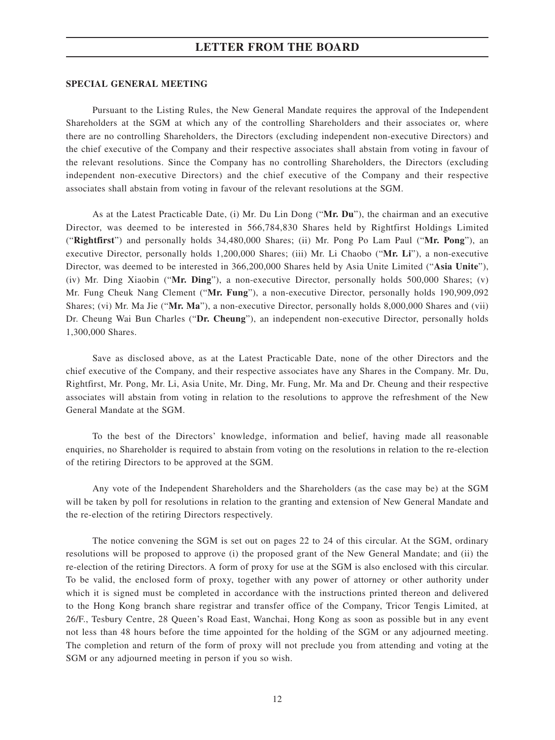#### **SPECIAL GENERAL MEETING**

Pursuant to the Listing Rules, the New General Mandate requires the approval of the Independent Shareholders at the SGM at which any of the controlling Shareholders and their associates or, where there are no controlling Shareholders, the Directors (excluding independent non-executive Directors) and the chief executive of the Company and their respective associates shall abstain from voting in favour of the relevant resolutions. Since the Company has no controlling Shareholders, the Directors (excluding independent non-executive Directors) and the chief executive of the Company and their respective associates shall abstain from voting in favour of the relevant resolutions at the SGM.

As at the Latest Practicable Date, (i) Mr. Du Lin Dong ("**Mr. Du**"), the chairman and an executive Director, was deemed to be interested in 566,784,830 Shares held by Rightfirst Holdings Limited ("**Rightfirst**") and personally holds 34,480,000 Shares; (ii) Mr. Pong Po Lam Paul ("**Mr. Pong**"), an executive Director, personally holds 1,200,000 Shares; (iii) Mr. Li Chaobo ("**Mr. Li**"), a non-executive Director, was deemed to be interested in 366,200,000 Shares held by Asia Unite Limited ("**Asia Unite**"), (iv) Mr. Ding Xiaobin ("**Mr. Ding**"), a non-executive Director, personally holds 500,000 Shares; (v) Mr. Fung Cheuk Nang Clement ("**Mr. Fung**"), a non-executive Director, personally holds 190,909,092 Shares; (vi) Mr. Ma Jie ("**Mr. Ma**"), a non-executive Director, personally holds 8,000,000 Shares and (vii) Dr. Cheung Wai Bun Charles ("**Dr. Cheung**"), an independent non-executive Director, personally holds 1,300,000 Shares.

Save as disclosed above, as at the Latest Practicable Date, none of the other Directors and the chief executive of the Company, and their respective associates have any Shares in the Company. Mr. Du, Rightfirst, Mr. Pong, Mr. Li, Asia Unite, Mr. Ding, Mr. Fung, Mr. Ma and Dr. Cheung and their respective associates will abstain from voting in relation to the resolutions to approve the refreshment of the New General Mandate at the SGM.

To the best of the Directors' knowledge, information and belief, having made all reasonable enquiries, no Shareholder is required to abstain from voting on the resolutions in relation to the re-election of the retiring Directors to be approved at the SGM.

Any vote of the Independent Shareholders and the Shareholders (as the case may be) at the SGM will be taken by poll for resolutions in relation to the granting and extension of New General Mandate and the re-election of the retiring Directors respectively.

The notice convening the SGM is set out on pages 22 to 24 of this circular. At the SGM, ordinary resolutions will be proposed to approve (i) the proposed grant of the New General Mandate; and (ii) the re-election of the retiring Directors. A form of proxy for use at the SGM is also enclosed with this circular. To be valid, the enclosed form of proxy, together with any power of attorney or other authority under which it is signed must be completed in accordance with the instructions printed thereon and delivered to the Hong Kong branch share registrar and transfer office of the Company, Tricor Tengis Limited, at 26/F., Tesbury Centre, 28 Queen's Road East, Wanchai, Hong Kong as soon as possible but in any event not less than 48 hours before the time appointed for the holding of the SGM or any adjourned meeting. The completion and return of the form of proxy will not preclude you from attending and voting at the SGM or any adjourned meeting in person if you so wish.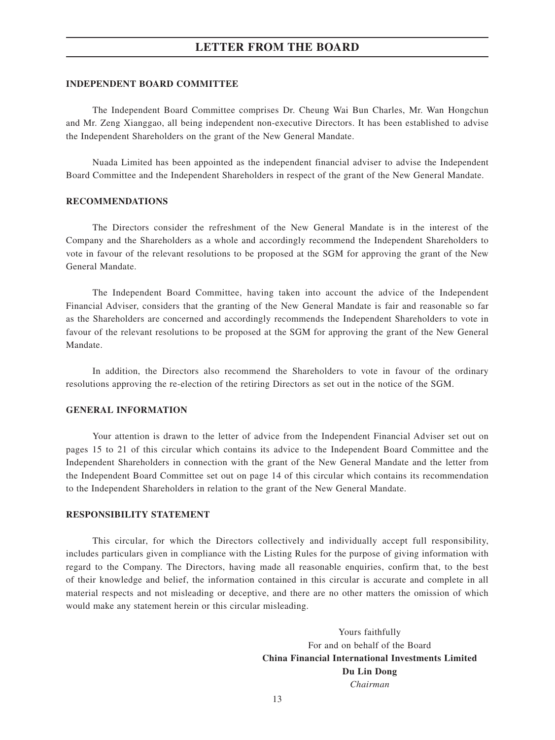#### **INDEPENDENT BOARD COMMITTEE**

The Independent Board Committee comprises Dr. Cheung Wai Bun Charles, Mr. Wan Hongchun and Mr. Zeng Xianggao, all being independent non-executive Directors. It has been established to advise the Independent Shareholders on the grant of the New General Mandate.

Nuada Limited has been appointed as the independent financial adviser to advise the Independent Board Committee and the Independent Shareholders in respect of the grant of the New General Mandate.

#### **RECOMMENDATIONS**

The Directors consider the refreshment of the New General Mandate is in the interest of the Company and the Shareholders as a whole and accordingly recommend the Independent Shareholders to vote in favour of the relevant resolutions to be proposed at the SGM for approving the grant of the New General Mandate.

The Independent Board Committee, having taken into account the advice of the Independent Financial Adviser, considers that the granting of the New General Mandate is fair and reasonable so far as the Shareholders are concerned and accordingly recommends the Independent Shareholders to vote in favour of the relevant resolutions to be proposed at the SGM for approving the grant of the New General Mandate.

In addition, the Directors also recommend the Shareholders to vote in favour of the ordinary resolutions approving the re-election of the retiring Directors as set out in the notice of the SGM.

#### **GENERAL INFORMATION**

Your attention is drawn to the letter of advice from the Independent Financial Adviser set out on pages 15 to 21 of this circular which contains its advice to the Independent Board Committee and the Independent Shareholders in connection with the grant of the New General Mandate and the letter from the Independent Board Committee set out on page 14 of this circular which contains its recommendation to the Independent Shareholders in relation to the grant of the New General Mandate.

#### **RESPONSIBILITY STATEMENT**

This circular, for which the Directors collectively and individually accept full responsibility, includes particulars given in compliance with the Listing Rules for the purpose of giving information with regard to the Company. The Directors, having made all reasonable enquiries, confirm that, to the best of their knowledge and belief, the information contained in this circular is accurate and complete in all material respects and not misleading or deceptive, and there are no other matters the omission of which would make any statement herein or this circular misleading.

> Yours faithfully For and on behalf of the Board **China Financial International Investments Limited Du Lin Dong** *Chairman*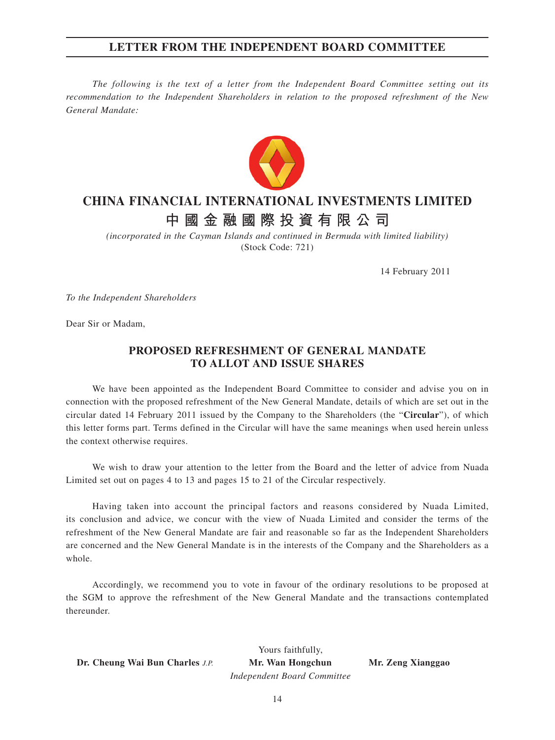### **LETTER FROM THE INDEPENDENT BOARD COMMITTEE**

*The following is the text of a letter from the Independent Board Committee setting out its recommendation to the Independent Shareholders in relation to the proposed refreshment of the New General Mandate:*



## **CHINA FINANCIAL INTERNATIONAL INVESTMENTS LIMITED**

# **中國金融國際投資有限公司**

*(incorporated in the Cayman Islands and continued in Bermuda with limited liability)* (Stock Code: 721)

14 February 2011

*To the Independent Shareholders*

Dear Sir or Madam,

### **PROPOSED REFRESHMENT OF GENERAL MANDATE TO ALLOT AND ISSUE SHARES**

We have been appointed as the Independent Board Committee to consider and advise you on in connection with the proposed refreshment of the New General Mandate, details of which are set out in the circular dated 14 February 2011 issued by the Company to the Shareholders (the "**Circular**"), of which this letter forms part. Terms defined in the Circular will have the same meanings when used herein unless the context otherwise requires.

We wish to draw your attention to the letter from the Board and the letter of advice from Nuada Limited set out on pages 4 to 13 and pages 15 to 21 of the Circular respectively.

Having taken into account the principal factors and reasons considered by Nuada Limited, its conclusion and advice, we concur with the view of Nuada Limited and consider the terms of the refreshment of the New General Mandate are fair and reasonable so far as the Independent Shareholders are concerned and the New General Mandate is in the interests of the Company and the Shareholders as a whole.

Accordingly, we recommend you to vote in favour of the ordinary resolutions to be proposed at the SGM to approve the refreshment of the New General Mandate and the transactions contemplated thereunder.

 **Dr. Cheung Wai Bun Charles** *J.P.* **Mr. Wan Hongchun Mr. Zeng Xianggao**

 Yours faithfully,  *Independent Board Committee*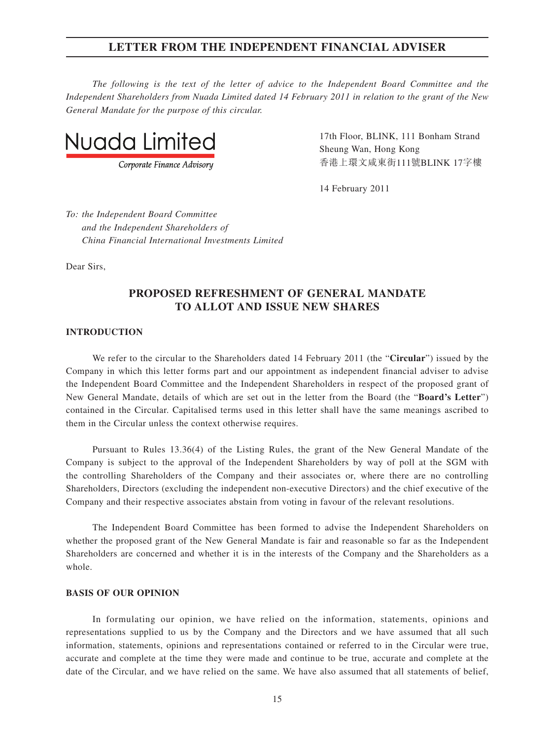*The following is the text of the letter of advice to the Independent Board Committee and the Independent Shareholders from Nuada Limited dated 14 February 2011 in relation to the grant of the New General Mandate for the purpose of this circular.*



Corporate Finance Advisory

 $\mathsf{N}_{\mathsf{I}}$   $\mathsf{I}$   $\mathsf{I}$   $\mathsf{I}$   $\mathsf{I}$   $\mathsf{I}$   $\mathsf{I}$   $\mathsf{I}$   $\mathsf{I}$   $\mathsf{I}$   $\mathsf{I}$   $\mathsf{I}$   $\mathsf{I}$   $\mathsf{I}$   $\mathsf{I}$   $\mathsf{I}$   $\mathsf{I}$   $\mathsf{I}$   $\mathsf{I}$   $\mathsf{I}$   $\mathsf{I}$   $\mathsf{I}$   $\mathsf{I}$   $\mathsf{I}$ 香港上環文咸東街111號BLINK 17字樓

14 February 2011

*To: the Independent Board Committee and the Independent Shareholders of China Financial International Investments Limited*

Dear Sirs,

### **PROPOSED REFRESHMENT OF GENERAL MANDATE TO ALLOT AND ISSUE NEW SHARES**

#### **INTRODUCTION**

We refer to the circular to the Shareholders dated 14 February 2011 (the "**Circular**") issued by the Company in which this letter forms part and our appointment as independent financial adviser to advise the Independent Board Committee and the Independent Shareholders in respect of the proposed grant of New General Mandate, details of which are set out in the letter from the Board (the "**Board's Letter**") contained in the Circular. Capitalised terms used in this letter shall have the same meanings ascribed to them in the Circular unless the context otherwise requires.

Pursuant to Rules 13.36(4) of the Listing Rules, the grant of the New General Mandate of the Company is subject to the approval of the Independent Shareholders by way of poll at the SGM with the controlling Shareholders of the Company and their associates or, where there are no controlling Shareholders, Directors (excluding the independent non-executive Directors) and the chief executive of the Company and their respective associates abstain from voting in favour of the relevant resolutions.

The Independent Board Committee has been formed to advise the Independent Shareholders on whether the proposed grant of the New General Mandate is fair and reasonable so far as the Independent Shareholders are concerned and whether it is in the interests of the Company and the Shareholders as a whole.

### **BASIS OF OUR OPINION**

In formulating our opinion, we have relied on the information, statements, opinions and representations supplied to us by the Company and the Directors and we have assumed that all such information, statements, opinions and representations contained or referred to in the Circular were true, accurate and complete at the time they were made and continue to be true, accurate and complete at the date of the Circular, and we have relied on the same. We have also assumed that all statements of belief,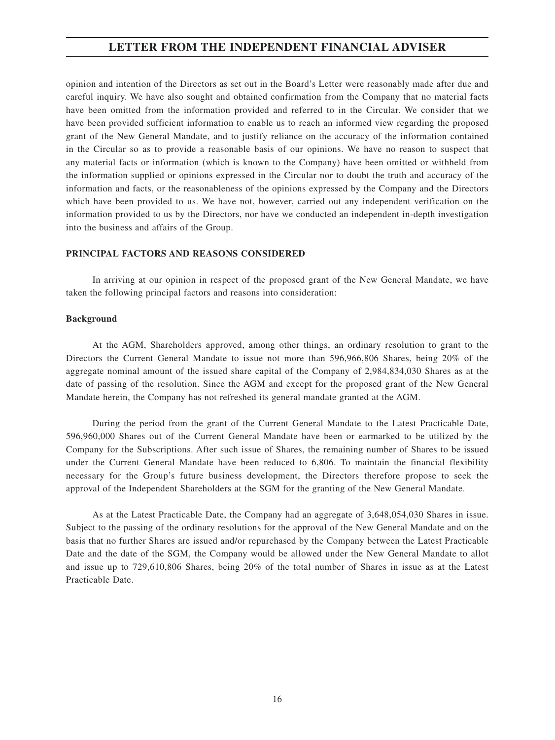opinion and intention of the Directors as set out in the Board's Letter were reasonably made after due and careful inquiry. We have also sought and obtained confirmation from the Company that no material facts have been omitted from the information provided and referred to in the Circular. We consider that we have been provided sufficient information to enable us to reach an informed view regarding the proposed grant of the New General Mandate, and to justify reliance on the accuracy of the information contained in the Circular so as to provide a reasonable basis of our opinions. We have no reason to suspect that any material facts or information (which is known to the Company) have been omitted or withheld from the information supplied or opinions expressed in the Circular nor to doubt the truth and accuracy of the information and facts, or the reasonableness of the opinions expressed by the Company and the Directors which have been provided to us. We have not, however, carried out any independent verification on the information provided to us by the Directors, nor have we conducted an independent in-depth investigation into the business and affairs of the Group.

#### **PRINCIPAL FACTORS AND REASONS CONSIDERED**

In arriving at our opinion in respect of the proposed grant of the New General Mandate, we have taken the following principal factors and reasons into consideration:

#### **Background**

At the AGM, Shareholders approved, among other things, an ordinary resolution to grant to the Directors the Current General Mandate to issue not more than 596,966,806 Shares, being 20% of the aggregate nominal amount of the issued share capital of the Company of 2,984,834,030 Shares as at the date of passing of the resolution. Since the AGM and except for the proposed grant of the New General Mandate herein, the Company has not refreshed its general mandate granted at the AGM.

During the period from the grant of the Current General Mandate to the Latest Practicable Date, 596,960,000 Shares out of the Current General Mandate have been or earmarked to be utilized by the Company for the Subscriptions. After such issue of Shares, the remaining number of Shares to be issued under the Current General Mandate have been reduced to 6,806. To maintain the financial flexibility necessary for the Group's future business development, the Directors therefore propose to seek the approval of the Independent Shareholders at the SGM for the granting of the New General Mandate.

As at the Latest Practicable Date, the Company had an aggregate of 3,648,054,030 Shares in issue. Subject to the passing of the ordinary resolutions for the approval of the New General Mandate and on the basis that no further Shares are issued and/or repurchased by the Company between the Latest Practicable Date and the date of the SGM, the Company would be allowed under the New General Mandate to allot and issue up to 729,610,806 Shares, being 20% of the total number of Shares in issue as at the Latest Practicable Date.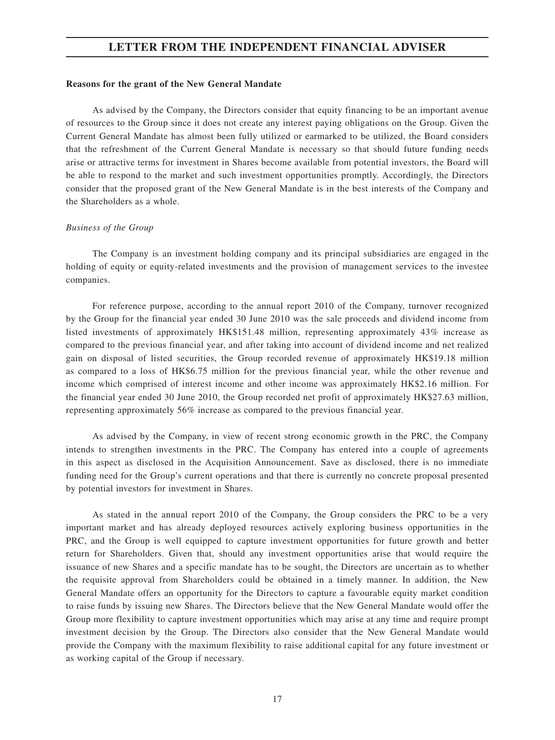#### **Reasons for the grant of the New General Mandate**

As advised by the Company, the Directors consider that equity financing to be an important avenue of resources to the Group since it does not create any interest paying obligations on the Group. Given the Current General Mandate has almost been fully utilized or earmarked to be utilized, the Board considers that the refreshment of the Current General Mandate is necessary so that should future funding needs arise or attractive terms for investment in Shares become available from potential investors, the Board will be able to respond to the market and such investment opportunities promptly. Accordingly, the Directors consider that the proposed grant of the New General Mandate is in the best interests of the Company and the Shareholders as a whole.

#### *Business of the Group*

The Company is an investment holding company and its principal subsidiaries are engaged in the holding of equity or equity-related investments and the provision of management services to the investee companies.

For reference purpose, according to the annual report 2010 of the Company, turnover recognized by the Group for the financial year ended 30 June 2010 was the sale proceeds and dividend income from listed investments of approximately HK\$151.48 million, representing approximately 43% increase as compared to the previous financial year, and after taking into account of dividend income and net realized gain on disposal of listed securities, the Group recorded revenue of approximately HK\$19.18 million as compared to a loss of HK\$6.75 million for the previous financial year, while the other revenue and income which comprised of interest income and other income was approximately HK\$2.16 million. For the financial year ended 30 June 2010, the Group recorded net profit of approximately HK\$27.63 million, representing approximately 56% increase as compared to the previous financial year.

As advised by the Company, in view of recent strong economic growth in the PRC, the Company intends to strengthen investments in the PRC. The Company has entered into a couple of agreements in this aspect as disclosed in the Acquisition Announcement. Save as disclosed, there is no immediate funding need for the Group's current operations and that there is currently no concrete proposal presented by potential investors for investment in Shares.

As stated in the annual report 2010 of the Company, the Group considers the PRC to be a very important market and has already deployed resources actively exploring business opportunities in the PRC, and the Group is well equipped to capture investment opportunities for future growth and better return for Shareholders. Given that, should any investment opportunities arise that would require the issuance of new Shares and a specific mandate has to be sought, the Directors are uncertain as to whether the requisite approval from Shareholders could be obtained in a timely manner. In addition, the New General Mandate offers an opportunity for the Directors to capture a favourable equity market condition to raise funds by issuing new Shares. The Directors believe that the New General Mandate would offer the Group more flexibility to capture investment opportunities which may arise at any time and require prompt investment decision by the Group. The Directors also consider that the New General Mandate would provide the Company with the maximum flexibility to raise additional capital for any future investment or as working capital of the Group if necessary.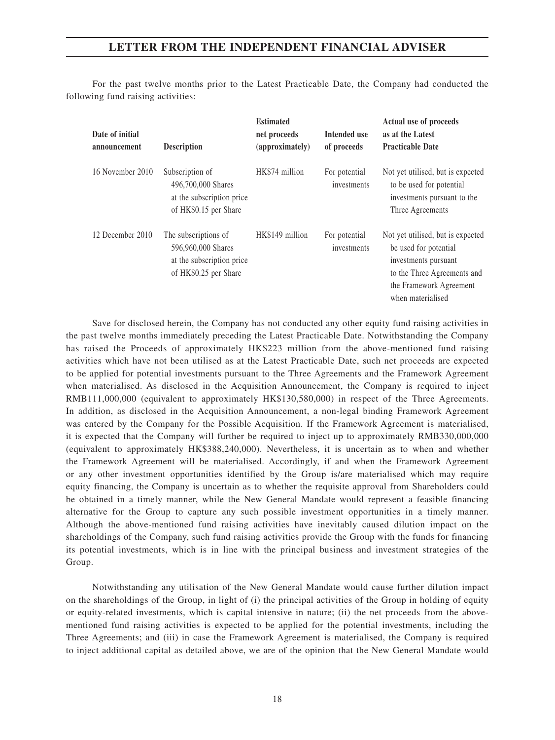For the past twelve months prior to the Latest Practicable Date, the Company had conducted the following fund raising activities:

| Date of initial<br>announcement | <b>Description</b>                                                                               | <b>Estimated</b><br>net proceeds<br>(approximately) | Intended use<br>of proceeds  | Actual use of proceeds<br>as at the Latest<br><b>Practicable Date</b>                                                                                             |
|---------------------------------|--------------------------------------------------------------------------------------------------|-----------------------------------------------------|------------------------------|-------------------------------------------------------------------------------------------------------------------------------------------------------------------|
| 16 November 2010                | Subscription of<br>496,700,000 Shares<br>at the subscription price<br>of HK\$0.15 per Share      | HK\$74 million                                      | For potential<br>investments | Not yet utilised, but is expected<br>to be used for potential<br>investments pursuant to the<br>Three Agreements                                                  |
| 12 December 2010                | The subscriptions of<br>596,960,000 Shares<br>at the subscription price<br>of HK\$0.25 per Share | HK\$149 million                                     | For potential<br>investments | Not yet utilised, but is expected<br>be used for potential<br>investments pursuant<br>to the Three Agreements and<br>the Framework Agreement<br>when materialised |

Save for disclosed herein, the Company has not conducted any other equity fund raising activities in the past twelve months immediately preceding the Latest Practicable Date. Notwithstanding the Company has raised the Proceeds of approximately HK\$223 million from the above-mentioned fund raising activities which have not been utilised as at the Latest Practicable Date, such net proceeds are expected to be applied for potential investments pursuant to the Three Agreements and the Framework Agreement when materialised. As disclosed in the Acquisition Announcement, the Company is required to inject RMB111,000,000 (equivalent to approximately HK\$130,580,000) in respect of the Three Agreements. In addition, as disclosed in the Acquisition Announcement, a non-legal binding Framework Agreement was entered by the Company for the Possible Acquisition. If the Framework Agreement is materialised, it is expected that the Company will further be required to inject up to approximately RMB330,000,000 (equivalent to approximately HK\$388,240,000). Nevertheless, it is uncertain as to when and whether the Framework Agreement will be materialised. Accordingly, if and when the Framework Agreement or any other investment opportunities identified by the Group is/are materialised which may require equity financing, the Company is uncertain as to whether the requisite approval from Shareholders could be obtained in a timely manner, while the New General Mandate would represent a feasible financing alternative for the Group to capture any such possible investment opportunities in a timely manner. Although the above-mentioned fund raising activities have inevitably caused dilution impact on the shareholdings of the Company, such fund raising activities provide the Group with the funds for financing its potential investments, which is in line with the principal business and investment strategies of the Group.

Notwithstanding any utilisation of the New General Mandate would cause further dilution impact on the shareholdings of the Group, in light of (i) the principal activities of the Group in holding of equity or equity-related investments, which is capital intensive in nature; (ii) the net proceeds from the abovementioned fund raising activities is expected to be applied for the potential investments, including the Three Agreements; and (iii) in case the Framework Agreement is materialised, the Company is required to inject additional capital as detailed above, we are of the opinion that the New General Mandate would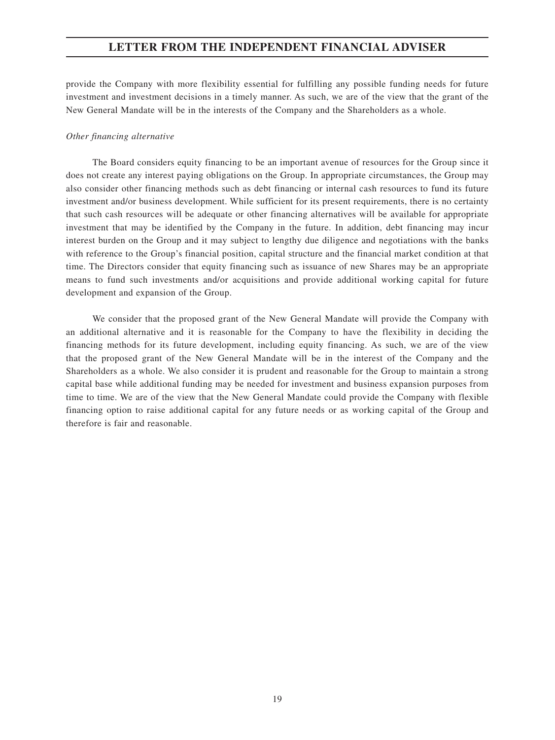provide the Company with more flexibility essential for fulfilling any possible funding needs for future investment and investment decisions in a timely manner. As such, we are of the view that the grant of the New General Mandate will be in the interests of the Company and the Shareholders as a whole.

#### *Other financing alternative*

The Board considers equity financing to be an important avenue of resources for the Group since it does not create any interest paying obligations on the Group. In appropriate circumstances, the Group may also consider other financing methods such as debt financing or internal cash resources to fund its future investment and/or business development. While sufficient for its present requirements, there is no certainty that such cash resources will be adequate or other financing alternatives will be available for appropriate investment that may be identified by the Company in the future. In addition, debt financing may incur interest burden on the Group and it may subject to lengthy due diligence and negotiations with the banks with reference to the Group's financial position, capital structure and the financial market condition at that time. The Directors consider that equity financing such as issuance of new Shares may be an appropriate means to fund such investments and/or acquisitions and provide additional working capital for future development and expansion of the Group.

We consider that the proposed grant of the New General Mandate will provide the Company with an additional alternative and it is reasonable for the Company to have the flexibility in deciding the financing methods for its future development, including equity financing. As such, we are of the view that the proposed grant of the New General Mandate will be in the interest of the Company and the Shareholders as a whole. We also consider it is prudent and reasonable for the Group to maintain a strong capital base while additional funding may be needed for investment and business expansion purposes from time to time. We are of the view that the New General Mandate could provide the Company with flexible financing option to raise additional capital for any future needs or as working capital of the Group and therefore is fair and reasonable.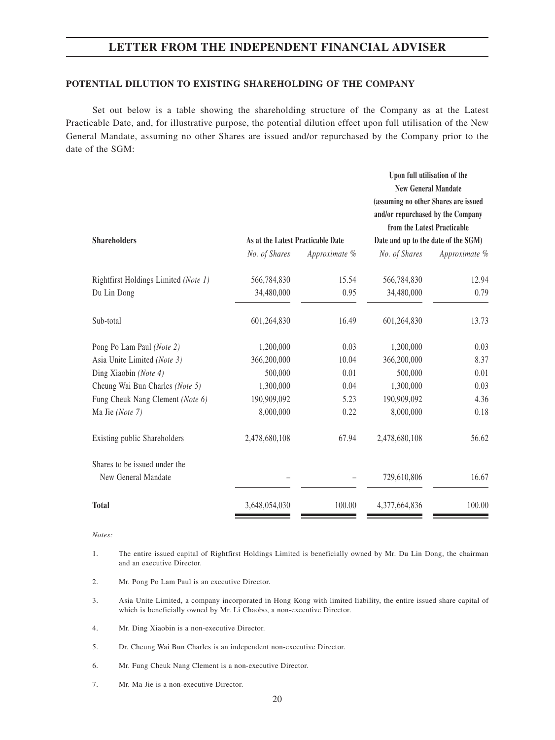#### **POTENTIAL DILUTION TO EXISTING SHAREHOLDING OF THE COMPANY**

Set out below is a table showing the shareholding structure of the Company as at the Latest Practicable Date, and, for illustrative purpose, the potential dilution effect upon full utilisation of the New General Mandate, assuming no other Shares are issued and/or repurchased by the Company prior to the date of the SGM:

| <b>Shareholders</b>                  | Upon full utilisation of the<br><b>New General Mandate</b><br>(assuming no other Shares are issued<br>and/or repurchased by the Company<br>from the Latest Practicable<br>As at the Latest Practicable Date<br>Date and up to the date of the SGM) |               |               |               |
|--------------------------------------|----------------------------------------------------------------------------------------------------------------------------------------------------------------------------------------------------------------------------------------------------|---------------|---------------|---------------|
|                                      | No. of Shares                                                                                                                                                                                                                                      | Approximate % | No. of Shares | Approximate % |
| Rightfirst Holdings Limited (Note 1) | 566,784,830                                                                                                                                                                                                                                        | 15.54         | 566,784,830   | 12.94         |
| Du Lin Dong                          | 34,480,000                                                                                                                                                                                                                                         | 0.95          | 34,480,000    | 0.79          |
| Sub-total                            | 601,264,830                                                                                                                                                                                                                                        | 16.49         | 601,264,830   | 13.73         |
| Pong Po Lam Paul (Note 2)            | 1,200,000                                                                                                                                                                                                                                          | 0.03          | 1,200,000     | 0.03          |
| Asia Unite Limited (Note 3)          | 366,200,000                                                                                                                                                                                                                                        | 10.04         | 366,200,000   | 8.37          |
| Ding Xiaobin (Note 4)                | 500,000                                                                                                                                                                                                                                            | 0.01          | 500,000       | 0.01          |
| Cheung Wai Bun Charles (Note 5)      | 1,300,000                                                                                                                                                                                                                                          | 0.04          | 1,300,000     | 0.03          |
| Fung Cheuk Nang Clement (Note 6)     | 190,909,092                                                                                                                                                                                                                                        | 5.23          | 190,909,092   | 4.36          |
| Ma Jie (Note 7)                      | 8,000,000                                                                                                                                                                                                                                          | 0.22          | 8,000,000     | 0.18          |
| Existing public Shareholders         | 2,478,680,108                                                                                                                                                                                                                                      | 67.94         | 2,478,680,108 | 56.62         |
| Shares to be issued under the        |                                                                                                                                                                                                                                                    |               |               |               |
| New General Mandate                  |                                                                                                                                                                                                                                                    |               | 729,610,806   | 16.67         |
| <b>Total</b>                         | 3,648,054,030                                                                                                                                                                                                                                      | 100.00        | 4,377,664,836 | 100.00        |

*Notes:*

- 1. The entire issued capital of Rightfirst Holdings Limited is beneficially owned by Mr. Du Lin Dong, the chairman and an executive Director.
- 2. Mr. Pong Po Lam Paul is an executive Director.
- 3. Asia Unite Limited, a company incorporated in Hong Kong with limited liability, the entire issued share capital of which is beneficially owned by Mr. Li Chaobo, a non-executive Director.
- 4. Mr. Ding Xiaobin is a non-executive Director.
- 5. Dr. Cheung Wai Bun Charles is an independent non-executive Director.
- 6. Mr. Fung Cheuk Nang Clement is a non-executive Director.
- 7. Mr. Ma Jie is a non-executive Director.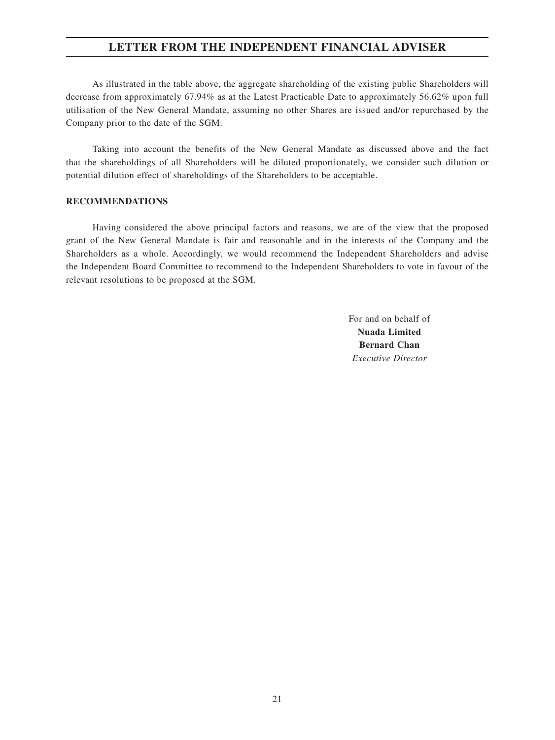As illustrated in the table above, the aggregate shareholding of the existing public Shareholders will decrease from approximately 67.94% as at the Latest Practicable Date to approximately 56.62% upon full utilisation of the New General Mandate, assuming no other Shares are issued and/or repurchased by the Company prior to the date of the SGM.

Taking into account the benefits of the New General Mandate as discussed above and the fact that the shareholdings of all Shareholders will be diluted proportionately, we consider such dilution or potential dilution effect of shareholdings of the Shareholders to be acceptable.

#### **RECOMMENDATIONS**

Having considered the above principal factors and reasons, we are of the view that the proposed grant of the New General Mandate is fair and reasonable and in the interests of the Company and the Shareholders as a whole. Accordingly, we would recommend the Independent Shareholders and advise the Independent Board Committee to recommend to the Independent Shareholders to vote in favour of the relevant resolutions to be proposed at the SGM.

> For and on behalf of **Nuada Limited Bernard Chan** *Executive Director*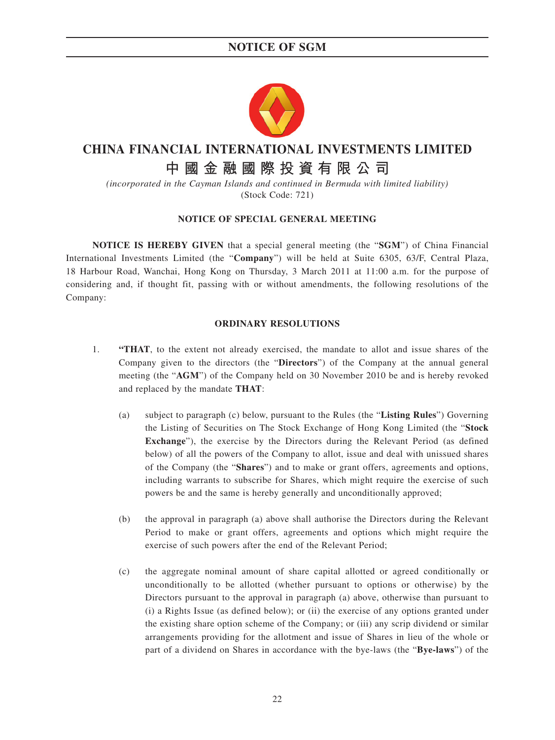### **NOTICE OF SGM**



## **CHINA FINANCIAL INTERNATIONAL INVESTMENTS LIMITED**

# **中國金融國際投資有限公司**

*(incorporated in the Cayman Islands and continued in Bermuda with limited liability)* (Stock Code: 721)

#### **NOTICE OF SPECIAL GENERAL MEETING**

**NOTICE IS HEREBY GIVEN** that a special general meeting (the "**SGM**") of China Financial International Investments Limited (the "**Company**") will be held at Suite 6305, 63/F, Central Plaza, 18 Harbour Road, Wanchai, Hong Kong on Thursday, 3 March 2011 at 11:00 a.m. for the purpose of considering and, if thought fit, passing with or without amendments, the following resolutions of the Company:

#### **ORDINARY RESOLUTIONS**

- 1. **"THAT**, to the extent not already exercised, the mandate to allot and issue shares of the Company given to the directors (the "**Directors**") of the Company at the annual general meeting (the "**AGM**") of the Company held on 30 November 2010 be and is hereby revoked and replaced by the mandate **THAT**:
	- (a) subject to paragraph (c) below, pursuant to the Rules (the "**Listing Rules**") Governing the Listing of Securities on The Stock Exchange of Hong Kong Limited (the "**Stock Exchange**"), the exercise by the Directors during the Relevant Period (as defined below) of all the powers of the Company to allot, issue and deal with unissued shares of the Company (the "**Shares**") and to make or grant offers, agreements and options, including warrants to subscribe for Shares, which might require the exercise of such powers be and the same is hereby generally and unconditionally approved;
	- (b) the approval in paragraph (a) above shall authorise the Directors during the Relevant Period to make or grant offers, agreements and options which might require the exercise of such powers after the end of the Relevant Period;
	- (c) the aggregate nominal amount of share capital allotted or agreed conditionally or unconditionally to be allotted (whether pursuant to options or otherwise) by the Directors pursuant to the approval in paragraph (a) above, otherwise than pursuant to (i) a Rights Issue (as defined below); or (ii) the exercise of any options granted under the existing share option scheme of the Company; or (iii) any scrip dividend or similar arrangements providing for the allotment and issue of Shares in lieu of the whole or part of a dividend on Shares in accordance with the bye-laws (the "**Bye-laws**") of the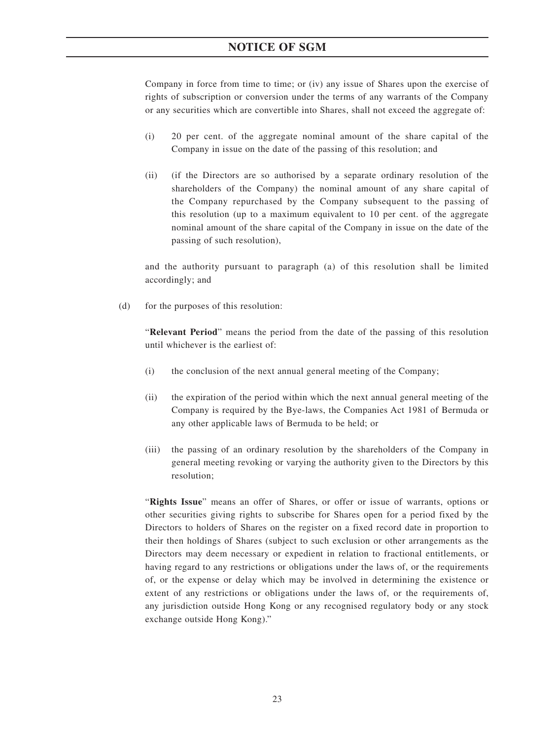### **NOTICE OF SGM**

Company in force from time to time; or (iv) any issue of Shares upon the exercise of rights of subscription or conversion under the terms of any warrants of the Company or any securities which are convertible into Shares, shall not exceed the aggregate of:

- (i) 20 per cent. of the aggregate nominal amount of the share capital of the Company in issue on the date of the passing of this resolution; and
- (ii) (if the Directors are so authorised by a separate ordinary resolution of the shareholders of the Company) the nominal amount of any share capital of the Company repurchased by the Company subsequent to the passing of this resolution (up to a maximum equivalent to 10 per cent. of the aggregate nominal amount of the share capital of the Company in issue on the date of the passing of such resolution),

and the authority pursuant to paragraph (a) of this resolution shall be limited accordingly; and

(d) for the purposes of this resolution:

"**Relevant Period**" means the period from the date of the passing of this resolution until whichever is the earliest of:

- (i) the conclusion of the next annual general meeting of the Company;
- (ii) the expiration of the period within which the next annual general meeting of the Company is required by the Bye-laws, the Companies Act 1981 of Bermuda or any other applicable laws of Bermuda to be held; or
- (iii) the passing of an ordinary resolution by the shareholders of the Company in general meeting revoking or varying the authority given to the Directors by this resolution;

"**Rights Issue**" means an offer of Shares, or offer or issue of warrants, options or other securities giving rights to subscribe for Shares open for a period fixed by the Directors to holders of Shares on the register on a fixed record date in proportion to their then holdings of Shares (subject to such exclusion or other arrangements as the Directors may deem necessary or expedient in relation to fractional entitlements, or having regard to any restrictions or obligations under the laws of, or the requirements of, or the expense or delay which may be involved in determining the existence or extent of any restrictions or obligations under the laws of, or the requirements of, any jurisdiction outside Hong Kong or any recognised regulatory body or any stock exchange outside Hong Kong)."